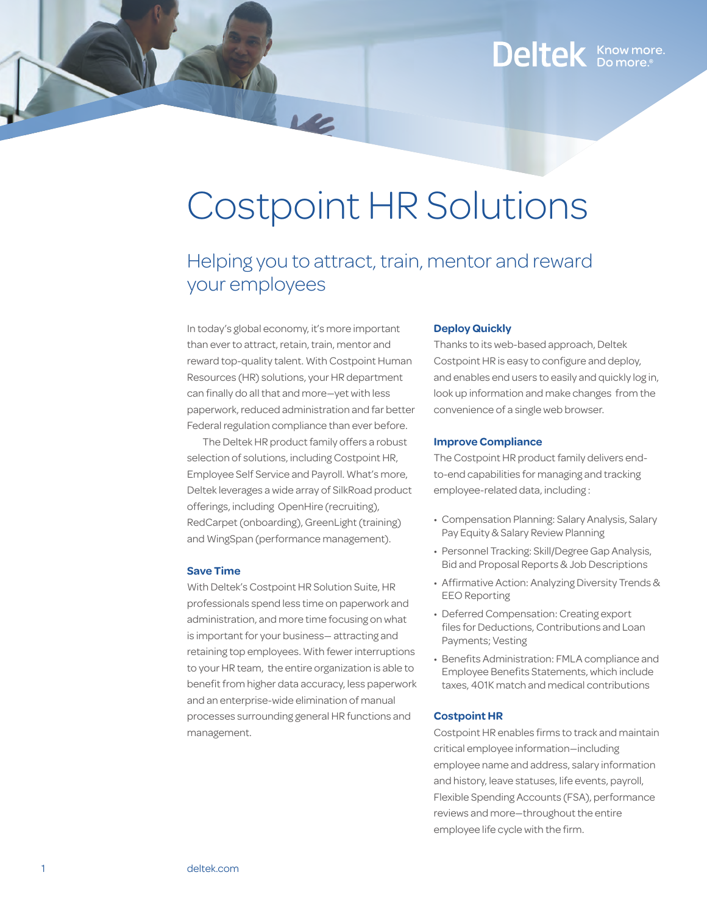### Deltek Know more.

# Costpoint HR Solutions

### Helping you to attract, train, mentor and reward your employees

In today's global economy, it's more important than ever to attract, retain, train, mentor and reward top-quality talent. With Costpoint Human Resources (HR) solutions, your HR department can finally do all that and more—yet with less paperwork, reduced administration and far better Federal regulation compliance than ever before.

The Deltek HR product family offers a robust selection of solutions, including Costpoint HR, Employee Self Service and Payroll. What's more, Deltek leverages a wide array of SilkRoad product offerings, including OpenHire (recruiting), RedCarpet (onboarding), GreenLight (training) and WingSpan (performance management).

#### **Save Time**

With Deltek's Costpoint HR Solution Suite, HR professionals spend less time on paperwork and administration, and more time focusing on what is important for your business— attracting and retaining top employees. With fewer interruptions to your HR team, the entire organization is able to benefit from higher data accuracy, less paperwork and an enterprise-wide elimination of manual processes surrounding general HR functions and management.

#### **Deploy Quickly**

Thanks to its web-based approach, Deltek Costpoint HR is easy to configure and deploy, and enables end users to easily and quickly log in, look up information and make changes from the convenience of a single web browser.

#### **Improve Compliance**

The Costpoint HR product family delivers endto-end capabilities for managing and tracking employee-related data, including :

- • Compensation Planning: Salary Analysis, Salary Pay Equity & Salary Review Planning
- Personnel Tracking: Skill/Degree Gap Analysis, Bid and Proposal Reports & Job Descriptions
- Affirmative Action: Analyzing Diversity Trends & EEO Reporting
- • Deferred Compensation: Creating export files for Deductions, Contributions and Loan Payments; Vesting
- Benefits Administration: FMLA compliance and Employee Benefits Statements, which include taxes, 401K match and medical contributions

#### **Costpoint HR**

Costpoint HR enables firms to track and maintain critical employee information—including employee name and address, salary information and history, leave statuses, life events, payroll, Flexible Spending Accounts (FSA), performance reviews and more—throughout the entire employee life cycle with the firm.